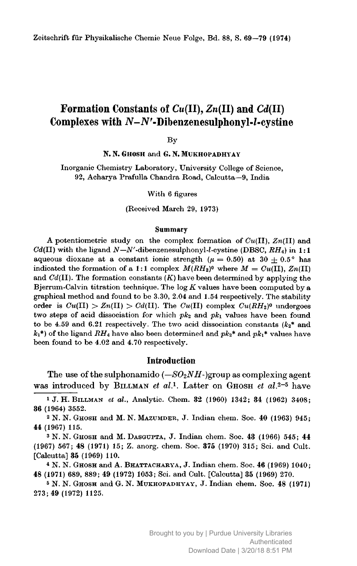# Formation Constants of  $Cu(II), Zn(II)$  and  $Cd(II)$ Complexes with  $N-N'$ -Dibenzenesulphonyl- $l$ -cystine

By

N. N. GHOSH and G. N. MUKHOPADHYAY

Inorganic Chemistry Laboratory, University College of Science, 92, Acharya Prafulla Chandra Road, Calcutta-9, India

With 6 figures

(Received March 29, 1973)

#### **Summary**

A potentiometric study on the complex formation of  $Cu(II)$ ,  $Zn(II)$  and  $Cd(II)$  with the ligand  $N-N'$ -dibenzenesulphonyl-l-cystine (DBSC,  $RH_4$ ) in 1:1 aqueous dioxane at a constant ionic strength ( $\mu = 0.50$ ) at 30  $\pm$  0.5° has indicated the formation of a 1:1 complex  $M(RH_2)^0$  where  $M = Cu(II), Zn(II)$ and  $Cd(II)$ . The formation constants  $(K)$  have been determined by applying the Bjerrum-Calvin titration technique. The  $log K$  values have been computed by a graphical method and found to be 3.30, 2.04 and 1.54 respectively. The stability order is  $Cu(II) > Zn(II) > Cd(II)$ . The  $Cu(II)$  complex  $Cu(RH<sub>2</sub>)<sup>0</sup>$  undergoes two steps of acid dissociation for which  $pk_2$  and  $pk_1$  values have been found to be 4.59 and 6.21 respectively. The two acid dissociation constants  $(k_2^*$  and  $k_1$ <sup>\*</sup>) of the ligand  $RH_4$  have also been determined and  $pk_2$ <sup>\*</sup> and  $pk_1$ <sup>\*</sup> values have been found to be 4.02 and 4.70 respectively.

#### **Introduction**

The use of the sulphonamido  $(-SO_2NH)$ -)group as complexing agent was introduced by BILLMAN et al.<sup>1</sup>. Latter on GHOSH et al.<sup>2-5</sup> have

<sup>1</sup> J. H. BILLMAN et al., Analytic. Chem. 32 (1960) 1342; 34 (1962) 3408; 36 (1964) 3552.

<sup>2</sup> N. N. GHOSH and M. N. MAZUMDER, J. Indian chem. Soc. 40 (1963) 945; 44 (1967) 115.

<sup>3</sup> N. N. GHOSH and M. DASGUPTA, J. Indian chem. Soc. 43 (1966) 545; 44 (1967) 567; 48 (1971) 15; Z. anorg. chem. Soc. 375 (1970) 315; Sci. and Cult. [Calcutta] 35 (1969) 110.

4 N. N. GHOSH and A. BHATTACHARYA, J. Indian chem. Soc. 46 (1969) 1040; 48 (1971) 689, 889; 49 (1972) 1053; Sci. and Cult. [Calcutta] 35 (1969) 270.

<sup>5</sup> N. N. GHOSH and G. N. MUKHOPADHYAY, J. Indian chem. Soc. 48 (1971) 273; 49 (1972) 1125.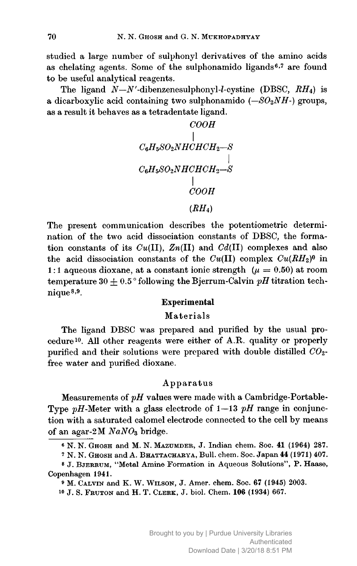studied a large number of sulphonyl derivatives of the amino acids as chelating agents. Some of the sulphonamido ligands<sup>6,7</sup> are found to be useful analytical reagents.

The ligand  $N-N'$ -dibenzenesulphonyl-l-cystine (DBSC,  $RH_4$ ) is a dicarboxylic acid containing two sulphonamido  $(-SO_2NH)$  groups, as a result it behaves as a tetradentate ligand.

$$
\begin{array}{c}\n COOH \\
\mid \\
C_6H_5SO_2NHCHCH_2-S \\
\mid \\
C_6H_5SO_2NHCHCH_2-S \\
\mid \\
COOH \\
(RH_4)\n\end{array}
$$

The present communication describes the potentiometric determination of the two acid dissociation constants of DBSC, the formation constants of its  $Cu(II)$ ,  $Zn(II)$  and  $Cd(II)$  complexes and also the acid dissociation constants of the  $Cu(II)$  complex  $Cu(RH<sub>2</sub>)<sup>0</sup>$  in 1:1 aqueous dioxane, at a constant ionic strength  $(\mu = 0.50)$  at room temperature 30  $\pm$  0.5° following the Bjerrum-Calvin pH titration technique<sup>8,9</sup>.

### **Experimental**

#### Materials

The ligand DBSC was prepared and purified by the usual procedure<sup>10</sup>. All other reagents were either of A.R. quality or properly purified and their solutions were prepared with double distilled  $CO<sub>2</sub>$ . free water and purified dioxane.

### Apparatus

Measurements of  $pH$  values were made with a Cambridge-Portable-Type  $pH$ -Meter with a glass electrode of  $1-13$   $pH$  range in conjunction with a saturated calomel electrode connected to the cell by means of an agar-2M  $NaNO<sub>3</sub>$  bridge.

<sup>7</sup> N. N. GHOSH and A. BHATTACHARYA, Bull. chem. Soc. Japan 44 (1971) 407.

8 J. BJERRUM, "Metal Amine Formation in Aqueous Solutions", P. Haase, Copenhagen 1941.

<sup>9</sup> M. CALVIN and K. W. WILSON, J. Amer. chem. Soc. 67 (1945) 2003.

<sup>10</sup> J. S. FRUTON and H. T. CLERK, J. biol. Chem. 106 (1934) 667.

<sup>6</sup> N. N. GHOSH and M. N. MAZUMDER, J. Indian chem. Soc. 41 (1964) 287.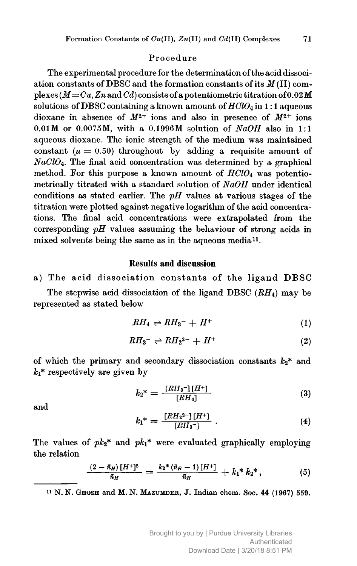#### Procedure

The experimental procedure for the determination of the acid dissociation constants of DBSC and the formation constants of its  $M(II)$  complexes ( $M = Cu$ , Zn and Cd) consists of a potentiometric titration of 0.02 M solutions of DBSC containing a known amount of  $HClO<sub>4</sub>$  in 1:1 aqueous dioxane in absence of  $M^{2+}$  ions and also in presence of  $M^{2+}$  ions  $0.01M$  or  $0.0075M$ , with a 0.1996M solution of  $NaOH$  also in 1:1 aqueous dioxane. The ionic strength of the medium was maintained constant ( $\mu = 0.50$ ) throughout by adding a requisite amount of  $NaClO<sub>4</sub>$ . The final acid concentration was determined by a graphical method. For this purpose a known amount of  $HClO<sub>4</sub>$  was potentiometrically titrated with a standard solution of NaOH under identical conditions as stated earlier. The  $pH$  values at various stages of the titration were plotted against negative logarithm of the acid concentrations. The final acid concentrations were extrapolated from the corresponding  $pH$  values assuming the behaviour of strong acids in mixed solvents being the same as in the aqueous media<sup>11</sup>.

### **Results and discussion**

a) The acid dissociation constants of the ligand DBSC

The stepwise acid dissociation of the ligand DBSC  $(RH_4)$  may be represented as stated below

$$
RH_4 \rightleftharpoons RH_3^- + H^+ \tag{1}
$$

$$
RH_3^{-} \rightleftharpoons RH_2^{2-} + H^+\tag{2}
$$

of which the primary and secondary dissociation constants  $k_2$ <sup>\*</sup> and  $k_1^*$  respectively are given by

$$
k_2^* = \frac{[RH_3^-][H^+]}{[RH_4]}
$$
 (3)

and

$$
k_1^* = \frac{[RH_2^{2-}][H^+]}{[RH_3^-]} \ . \tag{4}
$$

The values of  $pk_2^*$  and  $pk_1^*$  were evaluated graphically employing the relation

$$
\frac{(2-\bar{n}_H)[H^+]^2}{\bar{n}_H} = \frac{k_2*(\bar{n}_H-1)[H^+]}{\bar{n}_H} + k_1* k_2*, \qquad (5)
$$

<sup>11</sup> N. N. GHOSH and M. N. MAZUMDER, J. Indian chem. Soc. 44 (1967) 559.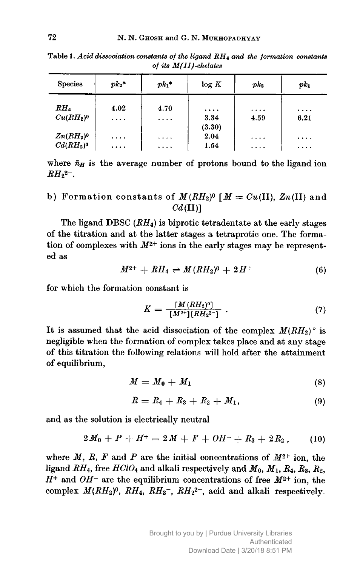Table 1. Acid dissociation constants of the ligand  $RH_4$  and the formation constants of its  $M(II)$ -chelates

| <b>Species</b> | $pk_2*$  | $pk_1*$  | log K          | pk <sub>2</sub> | $p k_1$  |
|----------------|----------|----------|----------------|-----------------|----------|
| $RH_4$         | 4.02     | 4.70     | $\cdots$       | $\cdots$        | $\cdots$ |
| $Cu(RH_2)^0$   | $\cdots$ | $\cdots$ | 3.34<br>(3.30) | 4.59            | 6.21     |
| $Zn(RH_2)^0$   | $\cdots$ | $\cdots$ | 2.04           | $\cdots$        | .        |
| $Cd(RH_2)^0$   | $\cdots$ | $\cdots$ | 1.54           | $\cdots$        | .        |

where  $\bar{n}_H$  is the average number of protons bound to the ligand ion  $RH_{2^{2}}$ -.

b) Formation constants of 
$$
M(RH_2)^0
$$
  $[M = Cu(II), Zn(II)]$  and  $Cd(II)$ 

The ligand DBSC  $(RH_4)$  is biprotic tetradentate at the early stages of the titration and at the latter stages a tetraprotic one. The formation of complexes with  $M^{2+}$  ions in the early stages may be represented as

$$
M^{2+} + RH_4 \rightleftharpoons M(RH_2)^0 + 2H^+ \tag{6}
$$

for which the formation constant is

$$
K = \frac{[M(RH_2)^0]}{[M^{2+}][RH_2^{2-}]} \tag{7}
$$

It is assumed that the acid dissociation of the complex  $M(RH_2)$ ° is negligible when the formation of complex takes place and at any stage of this titration the following relations will hold after the attainment of equilibrium,

$$
M = M_0 + M_1 \tag{8}
$$

$$
R = R_4 + R_3 + R_2 + M_1, \t\t(9)
$$

and as the solution is electrically neutral

$$
2M_0 + P + H^+ = 2M + F + OH^- + R_3 + 2R_2, \qquad (10)
$$

where M, R, F and P are the initial concentrations of  $M^{2+}$  ion, the ligand  $RH_4$ , free  $HClO_4$  and alkali respectively and  $M_0$ ,  $M_1$ ,  $R_4$ ,  $R_3$ ,  $R_2$ ,  $H^+$  and  $OH^-$  are the equilibrium concentrations of free  $M^{2+}$  ion, the complex  $M(RH_2)^0$ ,  $RH_4$ ,  $RH_3^-$ ,  $RH_2^{2-}$ , acid and alkali respectively.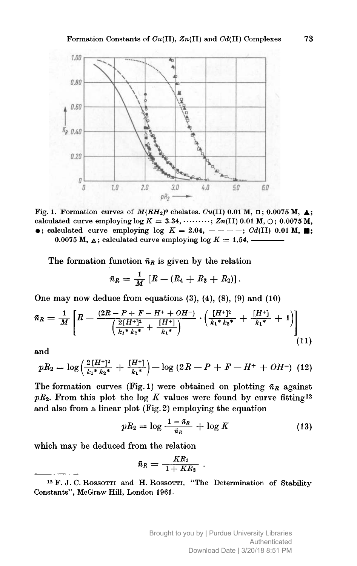

Fig. 1. Formation curves of  $M(RH_2)^0$  chelates.  $Cu(II)$  0.01 M,  $\Box$ ; 0.0075 M,  $\blacktriangle$ ; calculated curve employing  $\log K = 3.34, \dots \dots \dots$ ;  $Zn(II)$  0.01 M,  $\bigcirc$ ; 0.0075 M,  $\bullet$ ; calculated curve employing log  $K = 2.04$ , ----; Cd(II) 0.01 M, : 0.0075 M,  $\triangle$ ; calculated curve employing log  $K = 1.54$ .

The formation function  $\bar{n}_R$  is given by the relation

$$
\bar{n}_R = \frac{1}{M} [R - (R_4 + R_3 + R_2)].
$$

One may now deduce from equations  $(3)$ ,  $(4)$ ,  $(8)$ ,  $(9)$  and  $(10)$ 

$$
\bar{n}_R = \frac{1}{M} \left[ R - \frac{(2R - P + F - H^+ + OH^-)}{\left( \frac{2\left[H^+ \right]^2}{k_1 * k_2 * } + \frac{\left[H^+ \right]}{k_1 * } \right)} \cdot \left( \frac{\left[H^+ \right]^2}{k_1 * k_2 * } + \frac{\left[H^+ \right]}{k_1 * } + 1 \right) \right] \tag{11}
$$

and

$$
pR_2 = \log\left(\frac{2\left[H^+ \right]^2}{k_1 * k_2 *} + \frac{\left[H^+ \right]}{k_1 *}\right) - \log\left(2R - P + F - H^+ + OH^-\right) (12)
$$

The formation curves (Fig. 1) were obtained on plotting  $\bar{n}_R$  against  $pR_2$ . From this plot the log K values were found by curve fitting<sup>12</sup> and also from a linear plot (Fig. 2) employing the equation

$$
pR_2 = \log \frac{1 - \bar{n}_R}{\bar{n}_R} + \log K \tag{13}
$$

which may be deduced from the relation

$$
\bar{n}_R = \frac{KR_2}{1+KR_2} \ .
$$

<sup>&</sup>lt;sup>12</sup> F. J. C. ROSSOTTI and H. ROSSOTTI, "The Determination of Stability Constants", McGraw Hill, London 1961.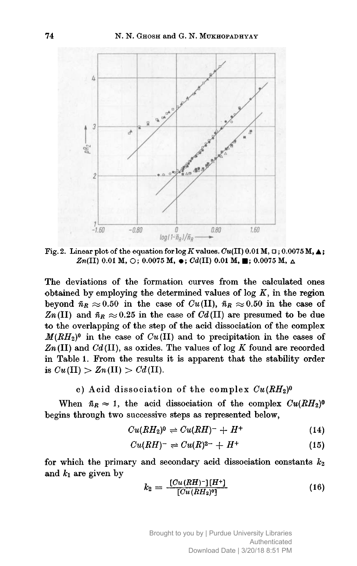

Fig. 2. Linear plot of the equation for  $\log K$  values.  $Cu(II)$  0.01 M,  $\Box$ ; 0.0075 M,  $\blacktriangle$ ;  $Zn(II)$  0.01 M,  $\bigcirc$ ; 0.0075 M,  $\bullet$ ; Cd(II) 0.01 M,  $\blacksquare$ ; 0.0075 M,  $\Delta$ 

The deviations of the formation curves from the calculated ones obtained by employing the determined values of  $log K$ , in the region beyond  $\bar{n}_R \approx 0.50$  in the case of  $Cu(II)$ ,  $\bar{n}_R \approx 0.50$  in the case of  $Zn(II)$  and  $\bar{n}_R \approx 0.25$  in the case of  $Cd(II)$  are presumed to be due to the overlapping of the step of the acid dissociation of the complex  $M(RH<sub>2</sub>)<sup>0</sup>$  in the case of  $Cu(II)$  and to precipitation in the cases of  $Zn(II)$  and  $Cd(II)$ , as oxides. The values of log K found are recorded in Table 1. From the results it is apparent that the stability order is  $Cu(\text{II}) > Zn(\text{II}) > Cd(\text{II}).$ 

c) Acid dissociation of the complex  $Cu(RH<sub>2</sub>)<sup>0</sup>$ 

When  $\bar{n}_R \approx 1$ , the acid dissociation of the complex  $Cu(RH_2)^0$ begins through two successive steps as represented below,

$$
Cu(RH2)0 \Rightarrow Cu(RH)- + H+
$$
 (14)

$$
Cu(RH)^{-} \Rightarrow Cu(R)^{2-} + H^{+} \tag{15}
$$

for which the primary and secondary acid dissociation constants  $k_2$ and  $k_1$  are given by

$$
k_2 = \frac{[Cu(RH)^-][H^+]}{[Cu(RH_2)^0]}
$$
 (16)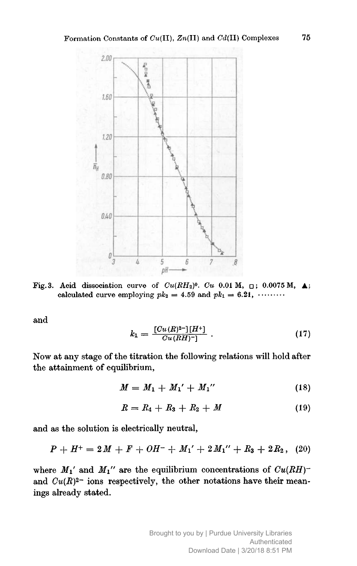

Fig.3. Acid dissociation curve of  $Cu(RH_2)^0$ .  $Cu$  0.01 M,  $\Box$ ; 0.0075 M,  $\blacktriangle$ ; calculated curve employing  $pk_2 = 4.59$  and  $pk_1 = 6.21, \dots$ 

and

$$
k_1 = \frac{[Cu(R)^2 -][H^+]}{Cu(RH) - 1} \ . \tag{17}
$$

Now at any stage of the titration the following relations will hold after the attainment of equilibrium,

$$
M = M_1 + M_1' + M_1'' \tag{18}
$$

$$
R = R_4 + R_3 + R_2 + M \tag{19}
$$

and as the solution is electrically neutral,

$$
P + H^+ = 2M + F + OH^- + M_1' + 2M_1'' + R_3 + 2R_2, \quad (20)
$$

where  $M_1$ ' and  $M_1$ '' are the equilibrium concentrations of  $Cu(RH)$ <sup>-</sup> and  $Cu(R)^{2-}$  ions respectively, the other notations have their meanings already stated.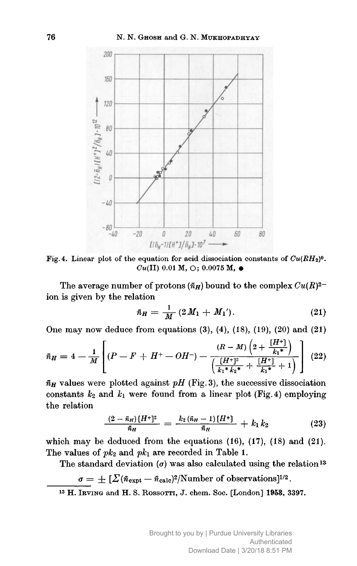

Fig. 4. Linear plot of the equation for acid dissociation constants of  $Cu(RH<sub>2</sub>)<sup>0</sup>$ .  $Cu(II)$  0.01 M,  $\bigcirc$ ; 0.0075 M,  $\bullet$ 

The average number of protons  $(\bar{n}_H)$  bound to the complex  $Cu(R)^{2-}$ ion is given by the relation

$$
\bar{n}_H = \frac{1}{M} (2 M_1 + M_1'). \qquad (21)
$$

One may now deduce from equations  $(3)$ ,  $(4)$ ,  $(18)$ ,  $(19)$ ,  $(20)$  and  $(21)$ 

$$
\bar{n}_H = 4 - \frac{1}{M} \left[ (P - F + H^+ - OH^-) - \frac{(R - M)\left(2 + \frac{[H^+]}{k_1^*}\right)}{\left(\frac{[H^+]^2}{k_1^* k_2^*} + \frac{[H^+]}{k_1^*} + 1\right)} \right] (22)
$$

 $\bar{n}_H$  values were plotted against pH (Fig. 3), the successive dissociation constants  $k_2$  and  $k_1$  were found from a linear plot (Fig. 4) employing the relation

$$
\frac{(2-\bar{n}_H)[H^+]^2}{\bar{n}_H} = \frac{k_2(\bar{n}_H-1)[H^+]}{\bar{n}_H} + k_1 k_2 \qquad (23)
$$

which may be deduced from the equations  $(16)$ ,  $(17)$ ,  $(18)$  and  $(21)$ . The values of  $pk_2$  and  $pk_1$  are recorded in Table 1.

The standard deviation  $(\sigma)$  was also calculated using the relation<sup>13</sup>

$$
\sigma = \pm \left[ \sum (\bar{n}_{\text{expt}} - \bar{n}_{\text{calc}})^2 / \text{Number of observations} \right]^{1/2}.
$$

<sup>13</sup> H. IRVING and H. S. ROSSOTTI, J. chem. Soc. [London] 1953, 3397.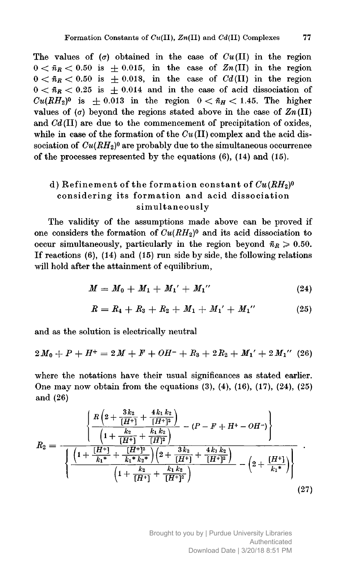The values of  $(\sigma)$  obtained in the case of  $Cu(II)$  in the region  $0 < \bar{n}_R < 0.50$  is  $\pm 0.015$ , in the case of  $Zn(II)$  in the region  $0 < \tilde{n}_R < 0.50$  is  $\pm 0.018$ , in the case of Cd(II) in the region  $0 < \bar{n}_R < 0.25$  is  $\pm 0.014$  and in the case of acid dissociation of  $Cu(RH<sub>2</sub>)<sup>0</sup>$  is  $\pm 0.013$  in the region  $0 < \bar{n}_H < 1.45$ . The higher values of  $(\sigma)$  beyond the regions stated above in the case of  $Zn(II)$ and  $Cd(II)$  are due to the commencement of precipitation of oxides, while in case of the formation of the  $Cu(II)$  complex and the acid dissociation of  $Cu(RH_2)^0$  are probably due to the simultaneous occurrence of the processes represented by the equations  $(6)$ ,  $(14)$  and  $(15)$ .

## d) Refinement of the formation constant of  $Cu(RH<sub>2</sub>)<sup>0</sup>$ considering its formation and acid dissociation simultaneously

The validity of the assumptions made above can be proved if one considers the formation of  $Cu(RH_2)^0$  and its acid dissociation to occur simultaneously, particularly in the region beyond  $\bar{n}_R \geq 0.50$ . If reactions  $(6)$ ,  $(14)$  and  $(15)$  run side by side, the following relations will hold after the attainment of equilibrium,

$$
M = M_0 + M_1 + M_1' + M_1'' \qquad (24)
$$

$$
R = R_4 + R_3 + R_2 + M_1 + M_1' + M_1'' \qquad (25)
$$

and as the solution is electrically neutral

$$
2M_0 + P + H^+ = 2M + F + OH^- + R_3 + 2R_2 + M_1' + 2M_1'' \quad (26)
$$

where the notations have their usual significances as stated earlier. One may now obtain from the equations  $(3)$ ,  $(4)$ ,  $(16)$ ,  $(17)$ ,  $(24)$ ,  $(25)$ and (26)

$$
R_2 = \frac{\left\{\frac{R\left(2+\frac{3k_2}{[H^+]} + \frac{4k_1k_2}{[H^+]^2}\right)}{\left(1+\frac{k_2}{[H^+]} + \frac{[H]^2}{[H]^2}\right)} - (P - F + H^+ - OH^-)\right\}}{\left\{\frac{\left(1+\frac{[H^+]}{k_1} + \frac{[H^+]^2}{k_1k_2k}\right)\left(2+\frac{3k_2}{[H^+]} + \frac{4k_1k_2}{[H^+]^2}\right)}{\left(1+\frac{k_2}{[H^+]} + \frac{k_1k_2}{[H^+]^2}\right)} - \left(2+\frac{[H^+]}{k_1k}\right)\right\}} \tag{27}
$$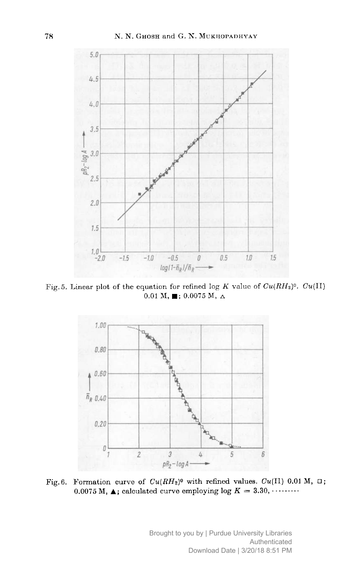

Fig. 5. Linear plot of the equation for refined log K value of  $Cu(RH<sub>2</sub>)$ <sup>0</sup>.  $Cu(II)$ 0.01 M,  $\blacksquare$ ; 0.0075 M,  $\Delta$ 



Fig. 6. Formation curve of  $Cu(RH<sub>2</sub>)<sup>0</sup>$  with refined values.  $Cu(II)$  0.01 M,  $\Box$ ; 0.0075 M,  $\blacktriangle$ ; calculated curve employing log  $K = 3.30, \cdots$ 

Brought to you by | Purdue University Libraries Authenticated Download Date | 3/20/18 8:51 PM